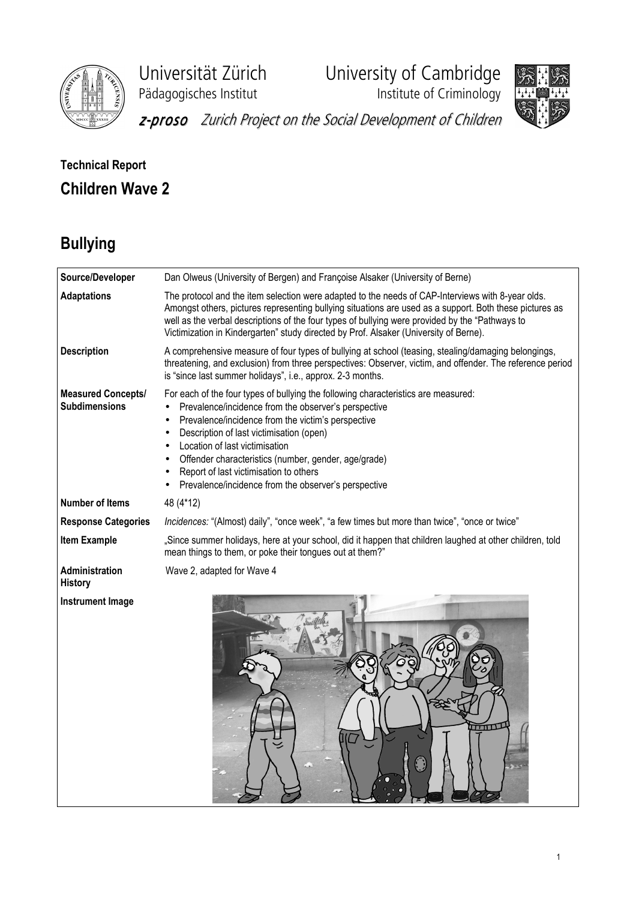

Universität Zürich University of Cambridge

Pädagogisches Institut **Institute of Criminology** 



z-proso Zurich Project on the Social Development of Children

## Technical Report Children Wave 2

# Bullying

| Source/Developer                                  | Dan Olweus (University of Bergen) and Françoise Alsaker (University of Berne)                                                                                                                                                                                                                                                                                                                                                                                      |
|---------------------------------------------------|--------------------------------------------------------------------------------------------------------------------------------------------------------------------------------------------------------------------------------------------------------------------------------------------------------------------------------------------------------------------------------------------------------------------------------------------------------------------|
| <b>Adaptations</b>                                | The protocol and the item selection were adapted to the needs of CAP-Interviews with 8-year olds.<br>Amongst others, pictures representing bullying situations are used as a support. Both these pictures as<br>well as the verbal descriptions of the four types of bullying were provided by the "Pathways to<br>Victimization in Kindergarten" study directed by Prof. Alsaker (University of Berne).                                                           |
| <b>Description</b>                                | A comprehensive measure of four types of bullying at school (teasing, stealing/damaging belongings,<br>threatening, and exclusion) from three perspectives: Observer, victim, and offender. The reference period<br>is "since last summer holidays", i.e., approx. 2-3 months.                                                                                                                                                                                     |
| <b>Measured Concepts/</b><br><b>Subdimensions</b> | For each of the four types of bullying the following characteristics are measured:<br>Prevalence/incidence from the observer's perspective<br>$\bullet$<br>Prevalence/incidence from the victim's perspective<br>$\bullet$<br>Description of last victimisation (open)<br>Location of last victimisation<br>Offender characteristics (number, gender, age/grade)<br>Report of last victimisation to others<br>Prevalence/incidence from the observer's perspective |
| <b>Number of Items</b>                            | 48 (4*12)                                                                                                                                                                                                                                                                                                                                                                                                                                                          |
| <b>Response Categories</b>                        | Incidences: "(Almost) daily", "once week", "a few times but more than twice", "once or twice"                                                                                                                                                                                                                                                                                                                                                                      |
| <b>Item Example</b>                               | "Since summer holidays, here at your school, did it happen that children laughed at other children, told<br>mean things to them, or poke their tongues out at them?"                                                                                                                                                                                                                                                                                               |
| Administration<br><b>History</b>                  | Wave 2, adapted for Wave 4                                                                                                                                                                                                                                                                                                                                                                                                                                         |
| <b>Instrument Image</b>                           | <b>TITILE</b><br>$\bigcap_{k=1}^{\infty}$                                                                                                                                                                                                                                                                                                                                                                                                                          |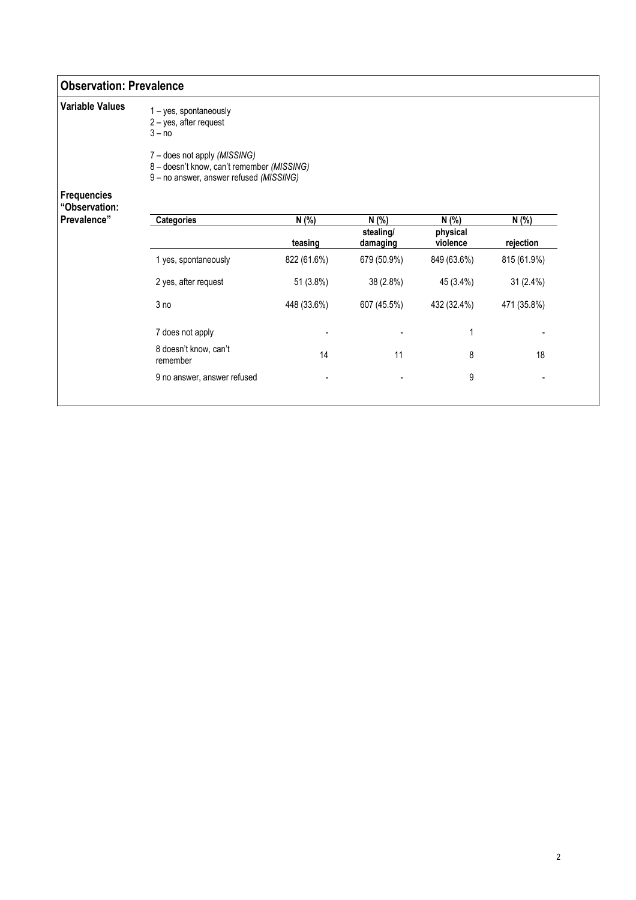#### Observation: Prevalence

| <b>Variable Values</b>              | 1 - yes, spontaneously<br>2 - yes, after request<br>$3 - no$                                                          |             |                       |                      |             |
|-------------------------------------|-----------------------------------------------------------------------------------------------------------------------|-------------|-----------------------|----------------------|-------------|
|                                     | 7 – does not apply (MISSING)<br>8 - doesn't know, can't remember (MISSING)<br>9 - no answer, answer refused (MISSING) |             |                       |                      |             |
| <b>Frequencies</b><br>"Observation: |                                                                                                                       |             |                       |                      |             |
| Prevalence"                         | <b>Categories</b>                                                                                                     | N(% )       | N(% )                 | N(% )                | N(% )       |
|                                     |                                                                                                                       | teasing     | stealing/<br>damaging | physical<br>violence | rejection   |
|                                     | 1 yes, spontaneously                                                                                                  | 822 (61.6%) | 679 (50.9%)           | 849 (63.6%)          | 815 (61.9%) |
|                                     | 2 yes, after request                                                                                                  | 51 (3.8%)   | 38 (2.8%)             | 45 (3.4%)            | 31 (2.4%)   |
|                                     | 3 <sub>no</sub>                                                                                                       | 448 (33.6%) | 607 (45.5%)           | 432 (32.4%)          | 471 (35.8%) |
|                                     | 7 does not apply                                                                                                      |             |                       | 1                    |             |
|                                     | 8 doesn't know, can't<br>remember                                                                                     | 14          | 11                    | 8                    | 18          |
|                                     | 9 no answer, answer refused                                                                                           |             |                       | 9                    |             |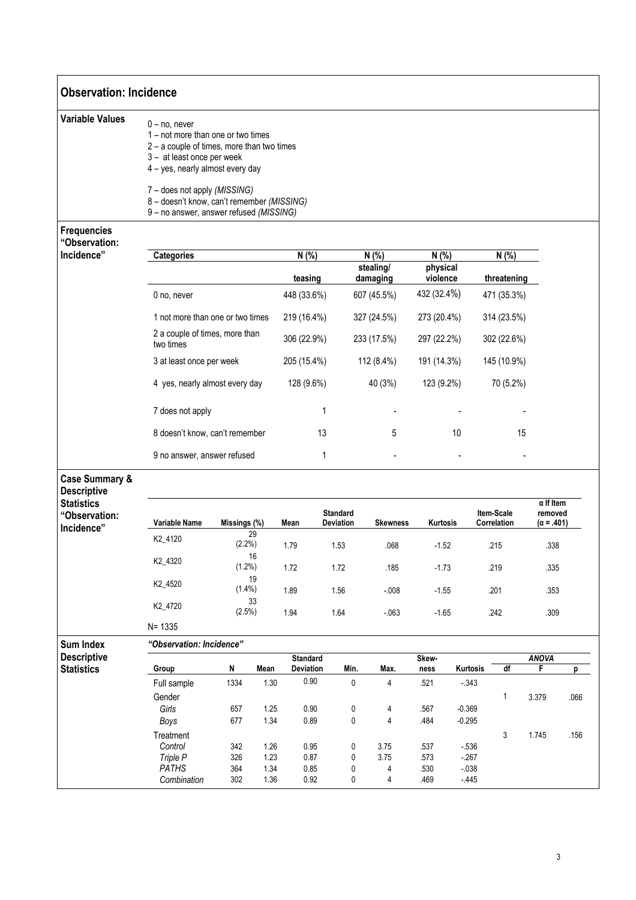| <b>Observation: Incidence</b>                    |                                                                                                                                                                        |              |      |                                     |                              |                               |                 |                               |          |                           |    |                              |      |
|--------------------------------------------------|------------------------------------------------------------------------------------------------------------------------------------------------------------------------|--------------|------|-------------------------------------|------------------------------|-------------------------------|-----------------|-------------------------------|----------|---------------------------|----|------------------------------|------|
| <b>Variable Values</b>                           | $0 - no$ , never<br>1 – not more than one or two times<br>2 - a couple of times, more than two times<br>3 - at least once per week<br>4 - yes, nearly almost every day |              |      |                                     |                              |                               |                 |                               |          |                           |    |                              |      |
|                                                  | 7 - does not apply (MISSING)<br>8 - doesn't know, can't remember (MISSING)<br>9 - no answer, answer refused (MISSING)                                                  |              |      |                                     |                              |                               |                 |                               |          |                           |    |                              |      |
| <b>Frequencies</b>                               |                                                                                                                                                                        |              |      |                                     |                              |                               |                 |                               |          |                           |    |                              |      |
| "Observation:                                    |                                                                                                                                                                        |              |      |                                     |                              |                               |                 |                               |          |                           |    |                              |      |
| Incidence"                                       | <b>Categories</b>                                                                                                                                                      |              |      | N(% )<br>teasing                    |                              | N(%)<br>stealing/<br>damaging |                 | N(% )<br>physical<br>violence |          | N(% )<br>threatening      |    |                              |      |
|                                                  | 0 no, never                                                                                                                                                            |              |      | 448 (33.6%)                         |                              | 607 (45.5%)                   |                 | 432 (32.4%)                   |          | 471 (35.3%)               |    |                              |      |
|                                                  | 1 not more than one or two times                                                                                                                                       |              |      | 219 (16.4%)                         |                              | 327 (24.5%)                   |                 | 273 (20.4%)                   |          | 314 (23.5%)               |    |                              |      |
|                                                  | 2 a couple of times, more than<br>two times                                                                                                                            |              |      | 306 (22.9%)                         |                              | 233 (17.5%)                   |                 | 297 (22.2%)                   |          | 302 (22.6%)               |    |                              |      |
|                                                  | 3 at least once per week                                                                                                                                               |              |      | 205 (15.4%)                         |                              | 112 (8.4%)                    |                 | 191 (14.3%)                   |          | 145 (10.9%)               |    |                              |      |
|                                                  | 4 yes, nearly almost every day                                                                                                                                         |              |      | 128 (9.6%)                          |                              | 40 (3%)                       |                 | 123 (9.2%)                    |          | 70 (5.2%)                 |    |                              |      |
|                                                  | 7 does not apply                                                                                                                                                       |              |      |                                     | 1                            |                               |                 |                               |          |                           |    |                              |      |
|                                                  | 8 doesn't know, can't remember                                                                                                                                         |              |      |                                     | 13                           |                               | 5               |                               | 10       |                           | 15 |                              |      |
|                                                  | 9 no answer, answer refused                                                                                                                                            |              |      |                                     | 1                            |                               |                 |                               |          |                           |    |                              |      |
| <b>Case Summary &amp;</b><br><b>Descriptive</b>  |                                                                                                                                                                        |              |      |                                     |                              |                               |                 |                               |          |                           |    | $\alpha$ If Item             |      |
| <b>Statistics</b><br>"Observation:<br>Incidence" | Variable Name                                                                                                                                                          | Missings (%) |      | Mean                                | <b>Standard</b><br>Deviation |                               | <b>Skewness</b> | Kurtosis                      |          | Item-Scale<br>Correlation |    | removed<br>$(\alpha = .401)$ |      |
|                                                  | K2_4120                                                                                                                                                                | $(2.2\%)$    | 29   | 1.79                                | 1.53                         |                               | .068            | $-1.52$                       |          | .215                      |    | .338                         |      |
|                                                  | K2_4320                                                                                                                                                                | (1.2%)       | 16   | 1.72                                | 1.72                         |                               | .185            | $-1.73$                       |          | .219                      |    | .335                         |      |
|                                                  | K2_4520                                                                                                                                                                | $(1.4\%)$    | 19   | 1.89                                | 1.56                         |                               | $-0.08$         | $-1.55$                       |          | .201                      |    | .353                         |      |
|                                                  | K2_4720                                                                                                                                                                | (2.5%)       | 33   | 1.94                                | 1.64                         |                               | $-063$          | $-1.65$                       |          | .242                      |    | .309                         |      |
|                                                  | $N = 1335$                                                                                                                                                             |              |      |                                     |                              |                               |                 |                               |          |                           |    |                              |      |
| <b>Sum Index</b>                                 | "Observation: Incidence"                                                                                                                                               |              |      |                                     |                              |                               |                 |                               |          |                           |    |                              |      |
| <b>Descriptive</b><br><b>Statistics</b>          | Group                                                                                                                                                                  | N            | Mean | <b>Standard</b><br><b>Deviation</b> | Min.                         | Max.                          |                 | Skew-<br>ness                 | Kurtosis | df                        |    | <b>ANOVA</b><br>F            | p    |
|                                                  | Full sample                                                                                                                                                            | 1334         | 1.30 | 0.90                                |                              | 0                             | 4               | .521                          | $-343$   |                           |    |                              |      |
|                                                  | Gender                                                                                                                                                                 |              |      |                                     |                              |                               |                 |                               |          | 1                         |    | 3.379                        | .066 |
|                                                  | Girls                                                                                                                                                                  | 657          | 1.25 | 0.90                                |                              | 0                             | 4               | .567                          | $-0.369$ |                           |    |                              |      |
|                                                  | Boys                                                                                                                                                                   | 677          | 1.34 | 0.89                                |                              | 0                             | 4               | .484                          | $-0.295$ |                           |    |                              |      |
|                                                  | Treatment                                                                                                                                                              |              |      |                                     |                              |                               |                 |                               |          | 3                         |    | 1.745                        | .156 |
|                                                  | Control                                                                                                                                                                | 342          | 1.26 | 0.95                                |                              | 3.75<br>0                     |                 | .537                          | $-536$   |                           |    |                              |      |
|                                                  | Triple P                                                                                                                                                               | 326          | 1.23 | 0.87                                |                              | 3.75<br>0                     |                 | .573                          | $-267$   |                           |    |                              |      |
|                                                  | <b>PATHS</b>                                                                                                                                                           | 364          | 1.34 | 0.85                                |                              | 0                             | 4               | .530                          | $-0.38$  |                           |    |                              |      |
|                                                  | Combination                                                                                                                                                            | 302          | 1.36 | 0.92                                |                              | 0                             | 4               | .469                          | $-445$   |                           |    |                              |      |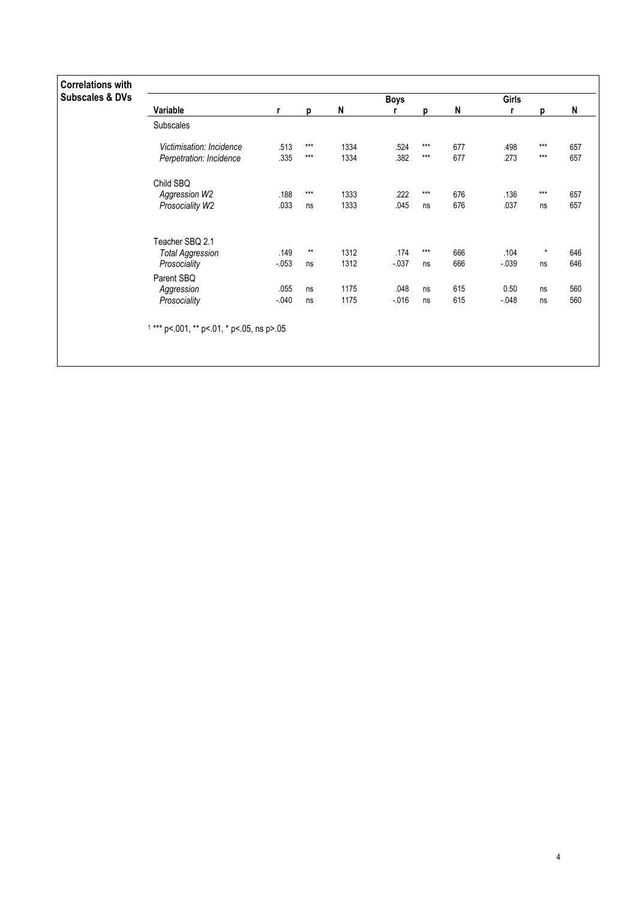| <b>Correlations with</b>   |                                            |          |       |      |             |       |     |         |          |     |
|----------------------------|--------------------------------------------|----------|-------|------|-------------|-------|-----|---------|----------|-----|
| <b>Subscales &amp; DVs</b> |                                            |          |       |      | <b>Boys</b> |       |     | Girls   |          |     |
|                            | Variable                                   | r        | p     | N    | r           | p     | N   | r       | D        | N   |
|                            | Subscales                                  |          |       |      |             |       |     |         |          |     |
|                            | Victimisation: Incidence                   | .513     | $***$ | 1334 | .524        | $***$ | 677 | .498    | $***$    | 657 |
|                            | Perpetration: Incidence                    | .335     | $***$ | 1334 | .382        | $***$ | 677 | .273    | $***$    | 657 |
|                            | Child SBQ                                  |          |       |      |             |       |     |         |          |     |
|                            | Aggression W2                              | .188     | $***$ | 1333 | .222        | $***$ | 676 | .136    | $***$    | 657 |
|                            | Prosociality W2                            | .033     | ns    | 1333 | .045        | ns    | 676 | .037    | ns       | 657 |
|                            | Teacher SBQ 2.1                            |          |       |      |             |       |     |         |          |     |
|                            | <b>Total Aggression</b>                    | .149     | $***$ | 1312 | .174        | $***$ | 666 | .104    | $^\star$ | 646 |
|                            | Prosociality                               | $-0.053$ | ns    | 1312 | $-0.37$     | ns    | 666 | $-0.39$ | ns       | 646 |
|                            | Parent SBQ                                 |          |       |      |             |       |     |         |          |     |
|                            | Aggression                                 | .055     | ns    | 1175 | .048        | ns    | 615 | 0.50    | ns       | 560 |
|                            | Prosociality                               | $-040$   | ns    | 1175 | $-016$      | ns    | 615 | $-048$  | ns       | 560 |
|                            | $1***$ p<.001, ** p<.01, * p<.05, ns p>.05 |          |       |      |             |       |     |         |          |     |
|                            |                                            |          |       |      |             |       |     |         |          |     |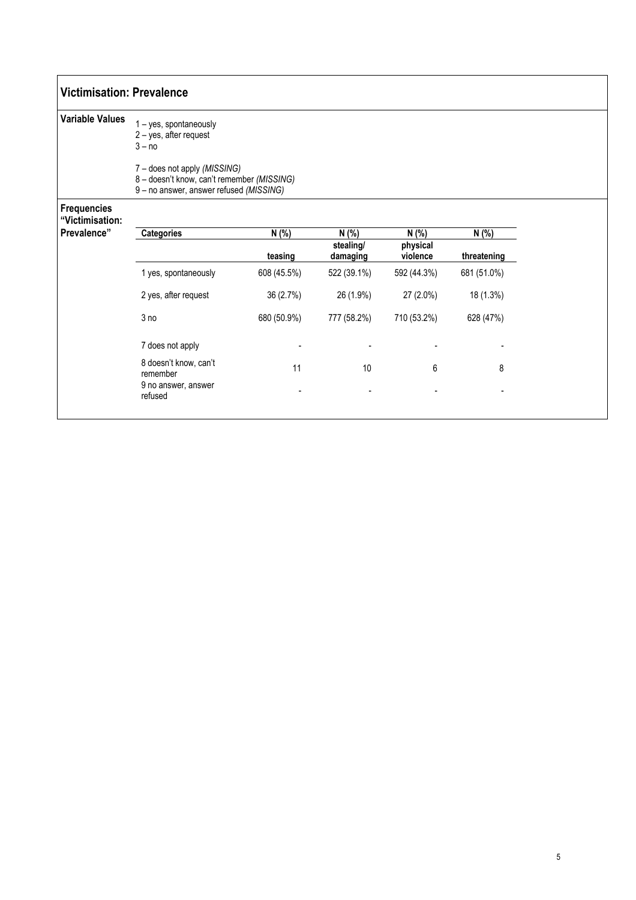### Victimisation: Prevalence

| <b>Variable Values</b>                | 1 - yes, spontaneously<br>$2 - yes$ , after request<br>$3 - no$                                                       |  |  |
|---------------------------------------|-----------------------------------------------------------------------------------------------------------------------|--|--|
|                                       | 7 – does not apply (MISSING)<br>8 - doesn't know, can't remember (MISSING)<br>9 - no answer, answer refused (MISSING) |  |  |
| <b>Frequencies</b><br>"Victimisation: |                                                                                                                       |  |  |
|                                       |                                                                                                                       |  |  |

| Prevalence" | <b>Categories</b>                 | N(% )       | N(% )                 | N(% )                | N (%)       |
|-------------|-----------------------------------|-------------|-----------------------|----------------------|-------------|
|             |                                   | teasing     | stealing/<br>damaging | physical<br>violence | threatening |
|             | 1 yes, spontaneously              | 608 (45.5%) | 522 (39.1%)           | 592 (44.3%)          | 681 (51.0%) |
|             | 2 yes, after request              | 36 (2.7%)   | 26 (1.9%)             | 27 (2.0%)            | 18 (1.3%)   |
|             | 3 no                              | 680 (50.9%) | 777 (58.2%)           | 710 (53.2%)          | 628 (47%)   |
|             | 7 does not apply                  | ۰           |                       |                      |             |
|             | 8 doesn't know, can't<br>remember | 11          | 10                    | 6                    | 8           |
|             | 9 no answer, answer<br>refused    |             |                       |                      |             |
|             |                                   |             |                       |                      |             |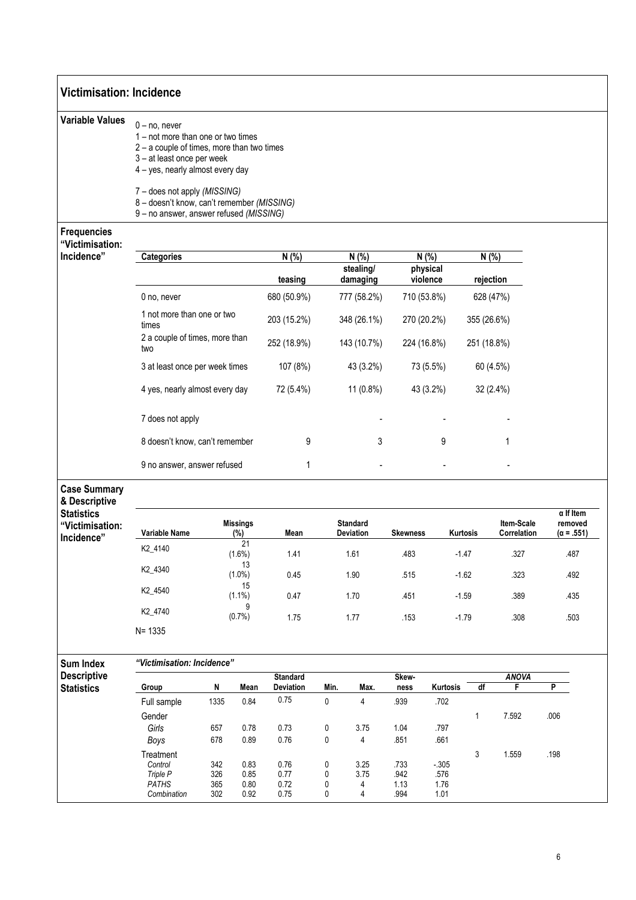| $0 - no$ , never<br>1 – not more than one or two times<br>$2 - a$ couple of times, more than two times<br>3-at least once per week<br>4 - yes, nearly almost every day<br>7 - does not apply (MISSING)<br>8 - doesn't know, can't remember (MISSING)<br>9 - no answer, answer refused (MISSING) |                  |                                |                                                                                                                                                                                                                                                                                                                                      |                                                      |           |                                                                                                                                                      |                                            |                                                                                                                                     |                                                                                                          |                                                                                                                      |
|-------------------------------------------------------------------------------------------------------------------------------------------------------------------------------------------------------------------------------------------------------------------------------------------------|------------------|--------------------------------|--------------------------------------------------------------------------------------------------------------------------------------------------------------------------------------------------------------------------------------------------------------------------------------------------------------------------------------|------------------------------------------------------|-----------|------------------------------------------------------------------------------------------------------------------------------------------------------|--------------------------------------------|-------------------------------------------------------------------------------------------------------------------------------------|----------------------------------------------------------------------------------------------------------|----------------------------------------------------------------------------------------------------------------------|
|                                                                                                                                                                                                                                                                                                 |                  |                                |                                                                                                                                                                                                                                                                                                                                      |                                                      |           |                                                                                                                                                      |                                            |                                                                                                                                     |                                                                                                          |                                                                                                                      |
|                                                                                                                                                                                                                                                                                                 |                  |                                |                                                                                                                                                                                                                                                                                                                                      |                                                      |           |                                                                                                                                                      |                                            |                                                                                                                                     |                                                                                                          |                                                                                                                      |
|                                                                                                                                                                                                                                                                                                 |                  |                                |                                                                                                                                                                                                                                                                                                                                      |                                                      |           |                                                                                                                                                      |                                            |                                                                                                                                     |                                                                                                          |                                                                                                                      |
|                                                                                                                                                                                                                                                                                                 |                  |                                |                                                                                                                                                                                                                                                                                                                                      |                                                      |           |                                                                                                                                                      |                                            |                                                                                                                                     |                                                                                                          |                                                                                                                      |
| <b>Categories</b>                                                                                                                                                                                                                                                                               |                  |                                | N(% )                                                                                                                                                                                                                                                                                                                                |                                                      | N (%)     |                                                                                                                                                      |                                            |                                                                                                                                     |                                                                                                          |                                                                                                                      |
|                                                                                                                                                                                                                                                                                                 |                  |                                | teasing                                                                                                                                                                                                                                                                                                                              |                                                      |           |                                                                                                                                                      |                                            |                                                                                                                                     |                                                                                                          |                                                                                                                      |
| 0 no, never                                                                                                                                                                                                                                                                                     |                  |                                | 680 (50.9%)                                                                                                                                                                                                                                                                                                                          |                                                      |           |                                                                                                                                                      |                                            |                                                                                                                                     |                                                                                                          |                                                                                                                      |
| times                                                                                                                                                                                                                                                                                           |                  |                                | 203 (15.2%)                                                                                                                                                                                                                                                                                                                          |                                                      |           |                                                                                                                                                      |                                            |                                                                                                                                     |                                                                                                          |                                                                                                                      |
| two                                                                                                                                                                                                                                                                                             |                  |                                | 252 (18.9%)                                                                                                                                                                                                                                                                                                                          |                                                      |           |                                                                                                                                                      |                                            |                                                                                                                                     |                                                                                                          |                                                                                                                      |
|                                                                                                                                                                                                                                                                                                 |                  |                                | 107 (8%)                                                                                                                                                                                                                                                                                                                             |                                                      |           |                                                                                                                                                      |                                            |                                                                                                                                     |                                                                                                          |                                                                                                                      |
|                                                                                                                                                                                                                                                                                                 |                  |                                | 72 (5.4%)                                                                                                                                                                                                                                                                                                                            |                                                      |           |                                                                                                                                                      |                                            |                                                                                                                                     |                                                                                                          |                                                                                                                      |
| 7 does not apply                                                                                                                                                                                                                                                                                |                  |                                |                                                                                                                                                                                                                                                                                                                                      |                                                      |           |                                                                                                                                                      |                                            |                                                                                                                                     |                                                                                                          |                                                                                                                      |
|                                                                                                                                                                                                                                                                                                 |                  |                                | 9                                                                                                                                                                                                                                                                                                                                    |                                                      |           |                                                                                                                                                      | 9                                          |                                                                                                                                     | 1                                                                                                        |                                                                                                                      |
|                                                                                                                                                                                                                                                                                                 |                  |                                | $\mathbf{1}$                                                                                                                                                                                                                                                                                                                         |                                                      |           |                                                                                                                                                      |                                            |                                                                                                                                     |                                                                                                          |                                                                                                                      |
|                                                                                                                                                                                                                                                                                                 |                  |                                |                                                                                                                                                                                                                                                                                                                                      |                                                      |           |                                                                                                                                                      |                                            |                                                                                                                                     |                                                                                                          |                                                                                                                      |
| Variable Name                                                                                                                                                                                                                                                                                   |                  |                                | Mean                                                                                                                                                                                                                                                                                                                                 |                                                      |           |                                                                                                                                                      |                                            |                                                                                                                                     | Item-Scale<br>Correlation                                                                                | $\alpha$ If Item<br>removed<br>$(\alpha = .551)$                                                                     |
| K2_4140                                                                                                                                                                                                                                                                                         |                  | 21                             |                                                                                                                                                                                                                                                                                                                                      |                                                      |           |                                                                                                                                                      |                                            |                                                                                                                                     |                                                                                                          | .487                                                                                                                 |
| K2_4340                                                                                                                                                                                                                                                                                         |                  | 13                             | 0.45                                                                                                                                                                                                                                                                                                                                 |                                                      | 1.90      | .515                                                                                                                                                 |                                            |                                                                                                                                     | .323                                                                                                     | .492                                                                                                                 |
| K2_4540                                                                                                                                                                                                                                                                                         |                  | 15                             | 0.47                                                                                                                                                                                                                                                                                                                                 |                                                      | 1.70      | .451                                                                                                                                                 |                                            |                                                                                                                                     | .389                                                                                                     | .435                                                                                                                 |
| K2_4740                                                                                                                                                                                                                                                                                         |                  |                                | 1.75                                                                                                                                                                                                                                                                                                                                 |                                                      | 1.77      | .153                                                                                                                                                 |                                            |                                                                                                                                     | .308                                                                                                     | .503                                                                                                                 |
| $N = 1335$                                                                                                                                                                                                                                                                                      |                  |                                |                                                                                                                                                                                                                                                                                                                                      |                                                      |           |                                                                                                                                                      |                                            |                                                                                                                                     |                                                                                                          |                                                                                                                      |
|                                                                                                                                                                                                                                                                                                 |                  |                                |                                                                                                                                                                                                                                                                                                                                      |                                                      |           |                                                                                                                                                      |                                            |                                                                                                                                     |                                                                                                          |                                                                                                                      |
|                                                                                                                                                                                                                                                                                                 |                  |                                |                                                                                                                                                                                                                                                                                                                                      |                                                      |           |                                                                                                                                                      |                                            |                                                                                                                                     |                                                                                                          | P                                                                                                                    |
| Full sample                                                                                                                                                                                                                                                                                     | 1335             | 0.84                           | 0.75                                                                                                                                                                                                                                                                                                                                 | $\pmb{0}$                                            | 4         | .939                                                                                                                                                 | .702                                       |                                                                                                                                     |                                                                                                          |                                                                                                                      |
| Gender                                                                                                                                                                                                                                                                                          |                  |                                |                                                                                                                                                                                                                                                                                                                                      |                                                      |           |                                                                                                                                                      |                                            | $\mathbf{1}$                                                                                                                        | 7.592                                                                                                    | .006                                                                                                                 |
| Girls                                                                                                                                                                                                                                                                                           | 657              | 0.78                           | 0.73                                                                                                                                                                                                                                                                                                                                 | 0                                                    | 3.75      | 1.04                                                                                                                                                 | .797                                       |                                                                                                                                     |                                                                                                          |                                                                                                                      |
| Boys                                                                                                                                                                                                                                                                                            | 678              | 0.89                           |                                                                                                                                                                                                                                                                                                                                      | $\pmb{0}$                                            | 4         |                                                                                                                                                      | .661                                       |                                                                                                                                     |                                                                                                          |                                                                                                                      |
| Treatment                                                                                                                                                                                                                                                                                       |                  |                                |                                                                                                                                                                                                                                                                                                                                      |                                                      |           |                                                                                                                                                      |                                            | 3                                                                                                                                   | 1.559                                                                                                    | .198                                                                                                                 |
| Triple P                                                                                                                                                                                                                                                                                        | 326              | 0.85                           | 0.77                                                                                                                                                                                                                                                                                                                                 | 0                                                    | 3.75      | .942                                                                                                                                                 | .576                                       |                                                                                                                                     |                                                                                                          |                                                                                                                      |
| PATHS                                                                                                                                                                                                                                                                                           | 365              | 0.80                           | 0.72                                                                                                                                                                                                                                                                                                                                 | 0                                                    | 4         | 1.13                                                                                                                                                 | 1.76                                       |                                                                                                                                     |                                                                                                          |                                                                                                                      |
|                                                                                                                                                                                                                                                                                                 | Group<br>Control | N<br>342<br>Combination<br>302 | 1 not more than one or two<br>2 a couple of times, more than<br>3 at least once per week times<br>4 yes, nearly almost every day<br>8 doesn't know, can't remember<br>9 no answer, answer refused<br><b>Missings</b><br>(%)<br>(1.6%)<br>$(1.0\%)$<br>$(1.1\%)$<br>9<br>(0.7%)<br>"Victimisation: Incidence"<br>Mean<br>0.83<br>0.92 | 1.41<br><b>Standard</b><br>Deviation<br>0.76<br>0.76 | Min.<br>0 | stealing/<br>damaging<br>777 (58.2%)<br>348 (26.1%)<br>143 (10.7%)<br>43 (3.2%)<br>11 (0.8%)<br><b>Standard</b><br>Deviation<br>1.61<br>Max.<br>3.25 | 3<br>.483<br>Skew-<br>ness<br>.851<br>.733 | N(% )<br>physical<br>violence<br>710 (53.8%)<br>270 (20.2%)<br>224 (16.8%)<br>73 (5.5%)<br>43 (3.2%)<br><b>Skewness</b><br>$-0.305$ | Kurtosis<br>$-1.47$<br>$-1.62$<br>$-1.59$<br>$-1.79$<br>df<br>Kurtosis<br>0.75<br>0<br>.994<br>1.01<br>4 | N(% )<br>rejection<br>628 (47%)<br>355 (26.6%)<br>251 (18.8%)<br>60 (4.5%)<br>32 (2.4%)<br>.327<br><b>ANOVA</b><br>F |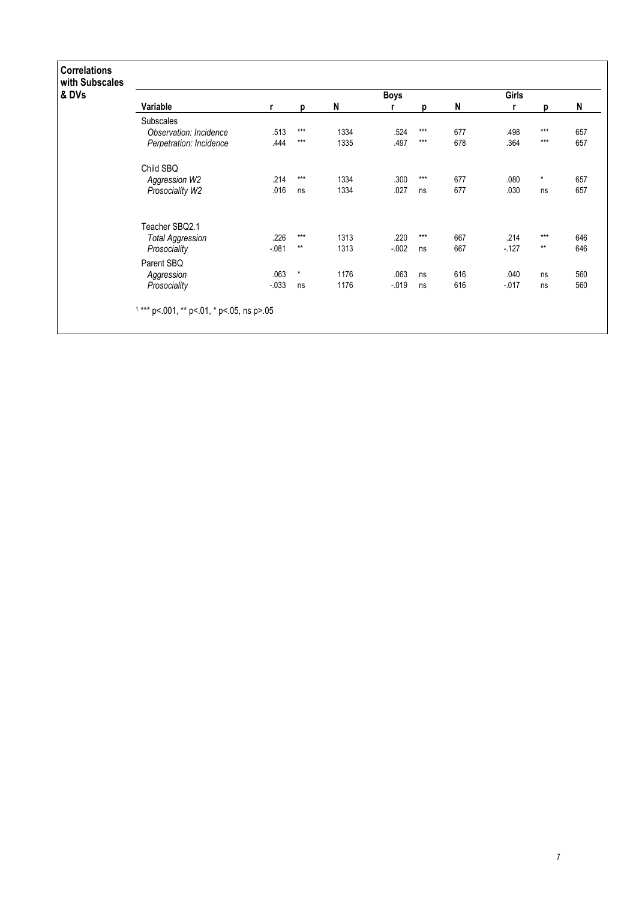| & DVs |                         |         |         |      | <b>Boys</b> |       |     | Girls    |         |     |
|-------|-------------------------|---------|---------|------|-------------|-------|-----|----------|---------|-----|
|       | Variable                | r       | p       | N    | r           | D     | N   | r        | p       | N   |
|       | <b>Subscales</b>        |         |         |      |             |       |     |          |         |     |
|       | Observation: Incidence  | .513    | $***$   | 1334 | .524        | $***$ | 677 | .498     | ***     | 657 |
|       | Perpetration: Incidence | .444    | $***$   | 1335 | .497        | $***$ | 678 | .364     | $***$   | 657 |
|       | Child SBQ               |         |         |      |             |       |     |          |         |     |
|       | Aggression W2           | .214    | $***$   | 1334 | .300        | $***$ | 677 | .080     | $\star$ | 657 |
|       | Prosociality W2         | .016    | ns      | 1334 | .027        | ns    | 677 | .030     | ns      | 657 |
|       | Teacher SBQ2.1          |         |         |      |             |       |     |          |         |     |
|       | <b>Total Aggression</b> | .226    | $***$   | 1313 | .220        | $***$ | 667 | .214     | $***$   | 646 |
|       | Prosociality            | $-081$  | $**$    | 1313 | $-0.002$    | ns    | 667 | $-127$   | $**$    | 646 |
|       | Parent SBQ              |         |         |      |             |       |     |          |         |     |
|       | Aggression              | .063    | $\star$ | 1176 | .063        | ns    | 616 | .040     | ns      | 560 |
|       | Prosociality            | $-0.33$ | ns      | 1176 | $-019$      | ns    | 616 | $-0.017$ | ns      | 560 |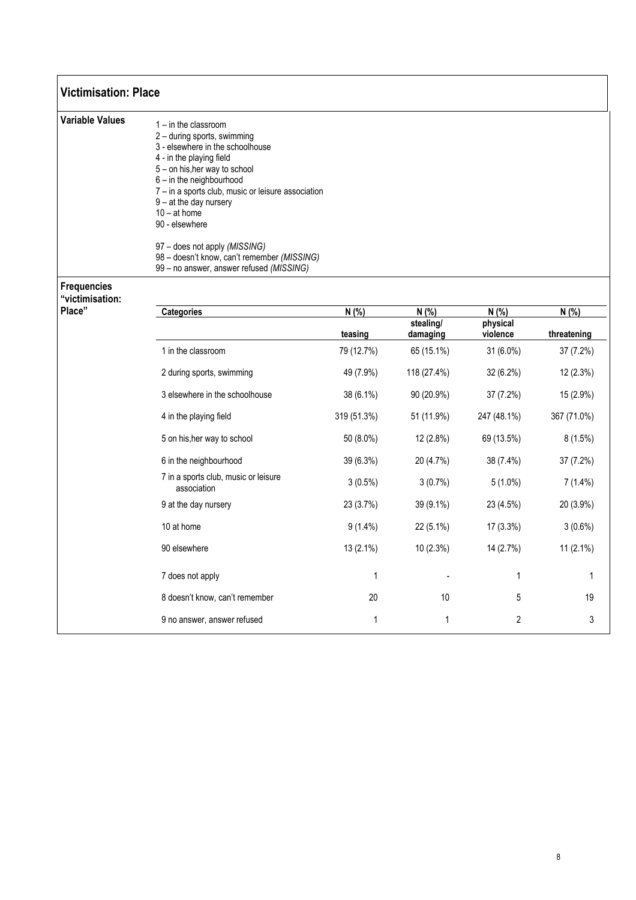| <b>Victimisation: Place</b>           |                                                                                                                                                                                                                                                                                                                                                                                                                                      |                  |                               |                                 |                      |
|---------------------------------------|--------------------------------------------------------------------------------------------------------------------------------------------------------------------------------------------------------------------------------------------------------------------------------------------------------------------------------------------------------------------------------------------------------------------------------------|------------------|-------------------------------|---------------------------------|----------------------|
| <b>Variable Values</b>                | $1 - in$ the classroom<br>2 - during sports, swimming<br>3 - elsewhere in the schoolhouse<br>4 - in the playing field<br>5 - on his, her way to school<br>6 - in the neighbourhood<br>7 - in a sports club, music or leisure association<br>$9 - at$ the day nursery<br>$10 - at home$<br>90 - elsewhere<br>97 - does not apply (MISSING)<br>98 - doesn't know, can't remember (MISSING)<br>99 - no answer, answer refused (MISSING) |                  |                               |                                 |                      |
| <b>Frequencies</b><br>"victimisation: |                                                                                                                                                                                                                                                                                                                                                                                                                                      |                  |                               |                                 |                      |
| Place"                                | <b>Categories</b>                                                                                                                                                                                                                                                                                                                                                                                                                    | N(% )<br>teasing | N(%)<br>stealing/<br>damaging | $N(\%)$<br>physical<br>violence | N(% )<br>threatening |
|                                       | 1 in the classroom                                                                                                                                                                                                                                                                                                                                                                                                                   | 79 (12.7%)       | 65 (15.1%)                    | 31 (6.0%)                       | 37 (7.2%)            |
|                                       | 2 during sports, swimming                                                                                                                                                                                                                                                                                                                                                                                                            | 49 (7.9%)        | 118 (27.4%)                   | 32 (6.2%)                       | 12 (2.3%)            |
|                                       | 3 elsewhere in the schoolhouse                                                                                                                                                                                                                                                                                                                                                                                                       | 38 (6.1%)        | 90 (20.9%)                    | 37 (7.2%)                       | 15 (2.9%)            |
|                                       | 4 in the playing field                                                                                                                                                                                                                                                                                                                                                                                                               | 319 (51.3%)      | 51 (11.9%)                    | 247 (48.1%)                     | 367 (71.0%)          |
|                                       | 5 on his, her way to school                                                                                                                                                                                                                                                                                                                                                                                                          | 50 (8.0%)        | 12 (2.8%)                     | 69 (13.5%)                      | 8(1.5%)              |
|                                       | 6 in the neighbourhood                                                                                                                                                                                                                                                                                                                                                                                                               | 39 (6.3%)        | 20 (4.7%)                     | 38 (7.4%)                       | 37 (7.2%)            |
|                                       | 7 in a sports club, music or leisure<br>association                                                                                                                                                                                                                                                                                                                                                                                  | $3(0.5\%)$       | 3(0.7%)                       | $5(1.0\%)$                      | $7(1.4\%)$           |
|                                       | 9 at the day nursery                                                                                                                                                                                                                                                                                                                                                                                                                 | 23 (3.7%)        | 39 (9.1%)                     | 23 (4.5%)                       | 20 (3.9%)            |
|                                       | 10 at home                                                                                                                                                                                                                                                                                                                                                                                                                           | $9(1.4\%)$       | 22 (5.1%)                     | 17 (3.3%)                       | 3(0.6%)              |
|                                       | 90 elsewhere                                                                                                                                                                                                                                                                                                                                                                                                                         | 13 (2.1%)        | 10 (2.3%)                     | 14 (2.7%)                       | 11 $(2.1\%)$         |
|                                       | 7 does not apply                                                                                                                                                                                                                                                                                                                                                                                                                     | $\mathbf{1}$     |                               | $\mathbf{1}$                    | 1                    |
|                                       | 8 doesn't know, can't remember                                                                                                                                                                                                                                                                                                                                                                                                       | 20               | 10                            | 5                               | 19                   |
|                                       | 9 no answer, answer refused                                                                                                                                                                                                                                                                                                                                                                                                          | $\mathbf{1}$     | $\mathbf{1}$                  | $\overline{2}$                  | 3                    |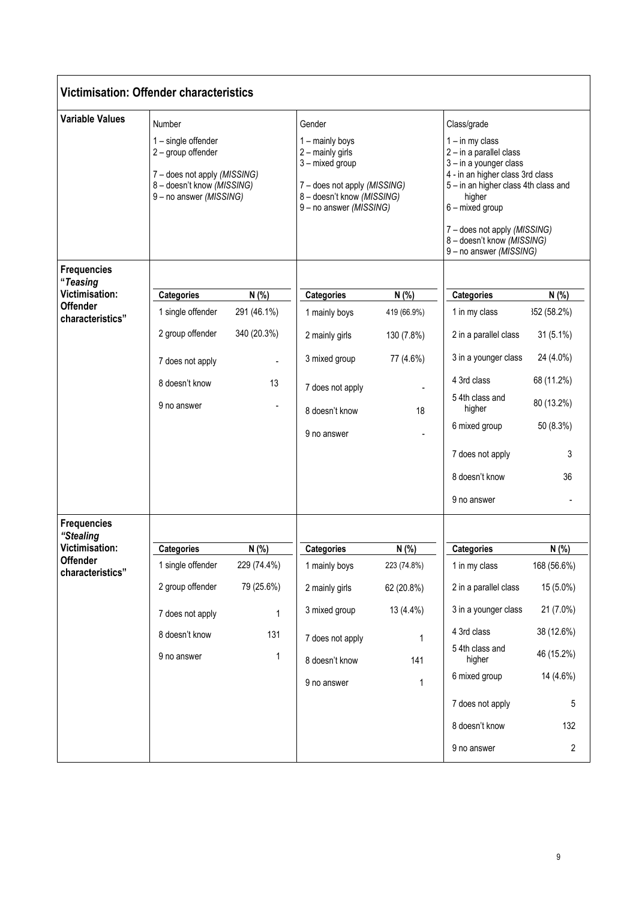|                                                                                                | <b>Victimisation: Offender characteristics</b>                                                                                               |                                                                         |                                                                                                                                                           |                                                                             |                                                                                                                                                                                                                                                                                         |                                                                                                                       |
|------------------------------------------------------------------------------------------------|----------------------------------------------------------------------------------------------------------------------------------------------|-------------------------------------------------------------------------|-----------------------------------------------------------------------------------------------------------------------------------------------------------|-----------------------------------------------------------------------------|-----------------------------------------------------------------------------------------------------------------------------------------------------------------------------------------------------------------------------------------------------------------------------------------|-----------------------------------------------------------------------------------------------------------------------|
| <b>Variable Values</b>                                                                         | Number<br>1 - single offender<br>2 - group offender<br>7 - does not apply (MISSING)<br>8 - doesn't know (MISSING)<br>9 - no answer (MISSING) |                                                                         | Gender<br>1 - mainly boys<br>2 - mainly girls<br>3 - mixed group<br>7 - does not apply (MISSING)<br>8 - doesn't know (MISSING)<br>9 - no answer (MISSING) |                                                                             | Class/grade<br>$1 - in$ my class<br>2 - in a parallel class<br>3 - in a younger class<br>4 - in an higher class 3rd class<br>5 - in an higher class 4th class and<br>higher<br>6 - mixed group<br>7 - does not apply (MISSING)<br>8 - doesn't know (MISSING)<br>9 - no answer (MISSING) |                                                                                                                       |
| <b>Frequencies</b><br>"Teasing<br><b>Victimisation:</b><br><b>Offender</b><br>characteristics" | <b>Categories</b><br>1 single offender<br>2 group offender<br>7 does not apply<br>8 doesn't know<br>9 no answer                              | N (%)<br>291 (46.1%)<br>340 (20.3%)<br>13                               | <b>Categories</b><br>1 mainly boys<br>2 mainly girls<br>3 mixed group<br>7 does not apply<br>8 doesn't know<br>9 no answer                                | N (%)<br>419 (66.9%)<br>130 (7.8%)<br>77 (4.6%)<br>18                       | <b>Categories</b><br>1 in my class<br>2 in a parallel class<br>3 in a younger class<br>4 3rd class<br>54th class and<br>higher<br>6 mixed group<br>7 does not apply<br>8 doesn't know<br>9 no answer                                                                                    | N (%)<br>352 (58.2%)<br>31 (5.1%)<br>24 (4.0%)<br>68 (11.2%)<br>80 (13.2%)<br>50 (8.3%)<br>3<br>36                    |
| <b>Frequencies</b><br>"Stealing<br><b>Victimisation:</b><br>Offender<br>characteristics"       | <b>Categories</b><br>1 single offender<br>2 group offender<br>7 does not apply<br>8 doesn't know<br>9 no answer                              | N(%)<br>229 (74.4%)<br>79 (25.6%)<br>$\mathbf 1$<br>131<br>$\mathbf{1}$ | <b>Categories</b><br>1 mainly boys<br>2 mainly girls<br>3 mixed group<br>7 does not apply<br>8 doesn't know<br>9 no answer                                | N (%)<br>223 (74.8%)<br>62 (20.8%)<br>13 (4.4%)<br>1<br>141<br>$\mathbf{1}$ | <b>Categories</b><br>1 in my class<br>2 in a parallel class<br>3 in a younger class<br>4 3rd class<br>5 4th class and<br>higher<br>6 mixed group<br>7 does not apply<br>8 doesn't know<br>9 no answer                                                                                   | N (%)<br>168 (56.6%)<br>15 (5.0%)<br>21 (7.0%)<br>38 (12.6%)<br>46 (15.2%)<br>14 (4.6%)<br>5<br>132<br>$\overline{2}$ |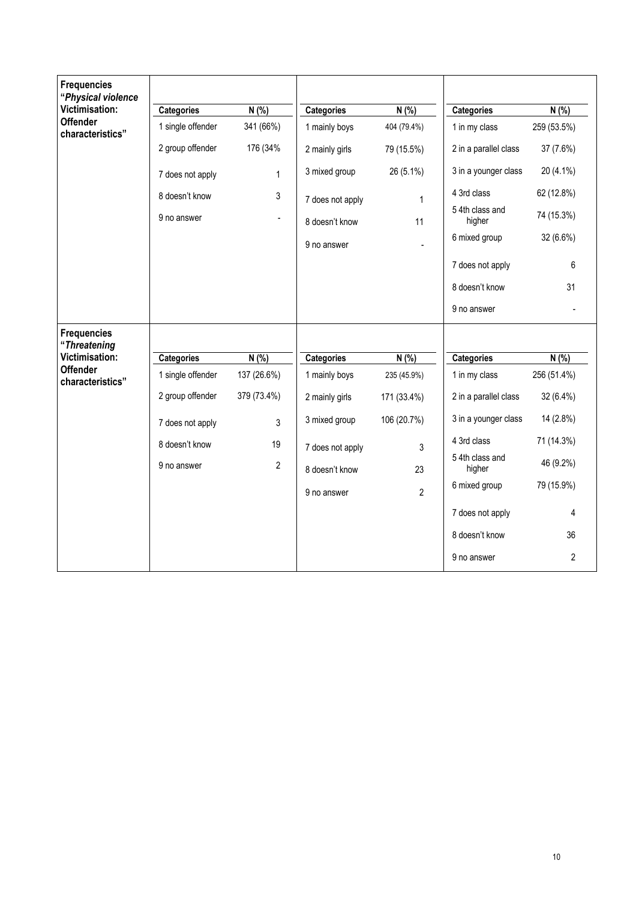| <b>Frequencies</b><br>"Physical violence |                   |                |                   |                |                           |             |
|------------------------------------------|-------------------|----------------|-------------------|----------------|---------------------------|-------------|
| Victimisation:                           | <b>Categories</b> | N(% )          | <b>Categories</b> | N(% )          | <b>Categories</b>         | N(% )       |
| <b>Offender</b><br>characteristics"      | 1 single offender | 341 (66%)      | 1 mainly boys     | 404 (79.4%)    | 1 in my class             | 259 (53.5%) |
|                                          | 2 group offender  | 176 (34%       | 2 mainly girls    | 79 (15.5%)     | 2 in a parallel class     | 37 (7.6%)   |
|                                          | 7 does not apply  | $\mathbf{1}$   | 3 mixed group     | 26 (5.1%)      | 3 in a younger class      | 20 (4.1%)   |
|                                          | 8 doesn't know    | 3              | 7 does not apply  | 1              | 4 3rd class               | 62 (12.8%)  |
|                                          | 9 no answer       |                | 8 doesn't know    | 11             | 5 4th class and<br>higher | 74 (15.3%)  |
|                                          |                   |                | 9 no answer       |                | 6 mixed group             | 32 (6.6%)   |
|                                          |                   |                |                   |                | 7 does not apply          |             |
|                                          |                   |                |                   |                | 8 doesn't know            |             |
|                                          |                   |                |                   |                | 9 no answer               |             |
| <b>Frequencies</b><br>"Threatening       |                   |                |                   |                |                           |             |
| Victimisation:                           | <b>Categories</b> | N(% )          | <b>Categories</b> | N(% )          | <b>Categories</b>         | N(% )       |
| <b>Offender</b><br>characteristics"      | 1 single offender | 137 (26.6%)    | 1 mainly boys     | 235 (45.9%)    | 1 in my class             | 256 (51.4%) |
|                                          | 2 group offender  | 379 (73.4%)    | 2 mainly girls    | 171 (33.4%)    | 2 in a parallel class     | 32 (6.4%)   |
|                                          | 7 does not apply  | 3              | 3 mixed group     | 106 (20.7%)    | 3 in a younger class      | 14 (2.8%)   |
|                                          | 8 doesn't know    | 19             | 7 does not apply  | 3              | 4 3rd class               | 71 (14.3%)  |
|                                          | 9 no answer       | $\overline{2}$ | 8 doesn't know    | 23             | 5 4th class and<br>higher | 46 (9.2%)   |
|                                          |                   |                | 9 no answer       | $\overline{2}$ | 6 mixed group             | 79 (15.9%)  |
|                                          |                   |                |                   |                | 7 does not apply          |             |
|                                          |                   |                |                   |                | 8 doesn't know            |             |
|                                          |                   |                |                   |                | 9 no answer               |             |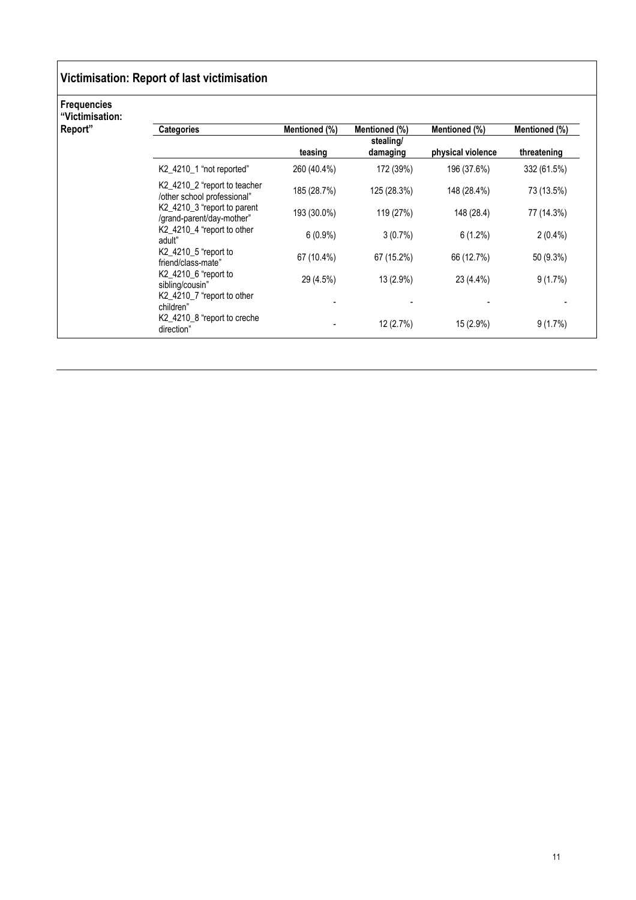### Victimisation: Report of last victimisation

#### Frequencies

"Victimisation:

| Report" | <b>Categories</b>                                           | Mentioned (%) | Mentioned (%)         | Mentioned (%)     | Mentioned (%) |
|---------|-------------------------------------------------------------|---------------|-----------------------|-------------------|---------------|
|         |                                                             | teasing       | stealing/<br>damaging | physical violence | threatening   |
|         | K2_4210_1 "not reported"                                    | 260 (40.4%)   | 172 (39%)             | 196 (37.6%)       | 332 (61.5%)   |
|         | K2_4210_2 "report to teacher<br>/other school professional" | 185 (28.7%)   | 125 (28.3%)           | 148 (28.4%)       | 73 (13.5%)    |
|         | K2_4210_3 "report to parent<br>/grand-parent/day-mother"    | 193 (30.0%)   | 119 (27%)             | 148 (28.4)        | 77 (14.3%)    |
|         | K2_4210_4 "report to other<br>adult"                        | $6(0.9\%)$    | 3(0.7%)               | $6(1.2\%)$        | $2(0.4\%)$    |
|         | K2_4210_5 "report to<br>friend/class-mate"                  | 67 (10.4%)    | 67 (15.2%)            | 66 (12.7%)        | 50 (9.3%)     |
|         | K2_4210_6 "report to<br>sibling/cousin"                     | 29 (4.5%)     | 13 (2.9%)             | 23 (4.4%)         | $9(1.7\%)$    |
|         | K2_4210_7 "report to other<br>children"                     |               |                       |                   |               |
|         | K2_4210_8 "report to creche<br>direction"                   |               | 12 (2.7%)             | 15 (2.9%)         | 9(1.7%)       |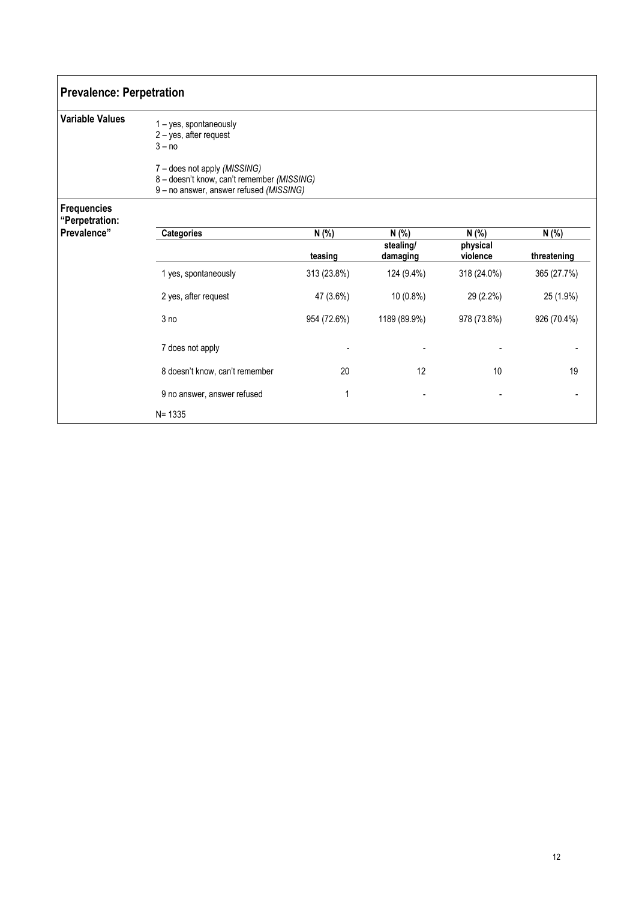| <b>Prevalence: Perpetration</b>      |                                                                                                                       |                  |                                |                               |                      |  |  |  |  |  |  |
|--------------------------------------|-----------------------------------------------------------------------------------------------------------------------|------------------|--------------------------------|-------------------------------|----------------------|--|--|--|--|--|--|
| <b>Variable Values</b>               | 1 - yes, spontaneously<br>2 - yes, after request<br>$3 - no$                                                          |                  |                                |                               |                      |  |  |  |  |  |  |
|                                      | 7 - does not apply (MISSING)<br>8 - doesn't know, can't remember (MISSING)<br>9 - no answer, answer refused (MISSING) |                  |                                |                               |                      |  |  |  |  |  |  |
| <b>Frequencies</b><br>"Perpetration: |                                                                                                                       |                  |                                |                               |                      |  |  |  |  |  |  |
| Prevalence"                          | <b>Categories</b>                                                                                                     | N (%)<br>teasing | N(% )<br>stealing/<br>damaging | N (%)<br>physical<br>violence | N (%)<br>threatening |  |  |  |  |  |  |
|                                      | 1 yes, spontaneously                                                                                                  | 313 (23.8%)      | 124 (9.4%)                     | 318 (24.0%)                   | 365 (27.7%)          |  |  |  |  |  |  |
|                                      | 2 yes, after request                                                                                                  | 47 (3.6%)        | 10 (0.8%)                      | 29 (2.2%)                     | 25 (1.9%)            |  |  |  |  |  |  |
|                                      | 3 no                                                                                                                  | 954 (72.6%)      | 1189 (89.9%)                   | 978 (73.8%)                   | 926 (70.4%)          |  |  |  |  |  |  |
|                                      | 7 does not apply                                                                                                      |                  |                                |                               |                      |  |  |  |  |  |  |
|                                      | 8 doesn't know, can't remember                                                                                        | 20               | 12                             | 10                            | 19                   |  |  |  |  |  |  |
|                                      | 9 no answer, answer refused                                                                                           | 1                |                                |                               |                      |  |  |  |  |  |  |
|                                      | $N = 1335$                                                                                                            |                  |                                |                               |                      |  |  |  |  |  |  |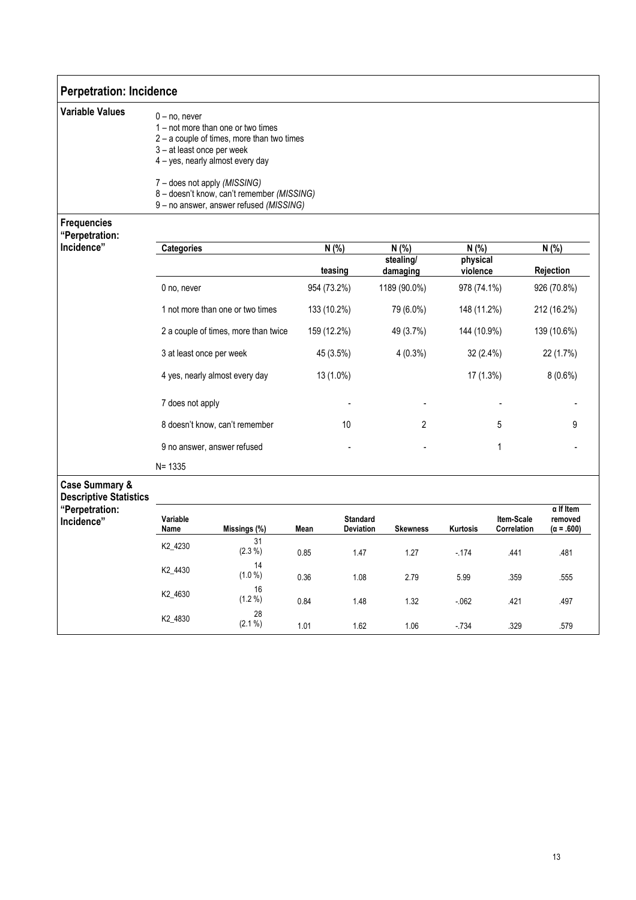| <b>Perpetration: Incidence</b>                             |                                                                                                                                                                                                                                                                                               |                                |             |                              |                       |                      |                           |                                                  |  |  |
|------------------------------------------------------------|-----------------------------------------------------------------------------------------------------------------------------------------------------------------------------------------------------------------------------------------------------------------------------------------------|--------------------------------|-------------|------------------------------|-----------------------|----------------------|---------------------------|--------------------------------------------------|--|--|
| <b>Variable Values</b>                                     | $0 - no$ , never<br>1 – not more than one or two times<br>2 - a couple of times, more than two times<br>3-at least once per week<br>4 - yes, nearly almost every day<br>7 - does not apply (MISSING)<br>8 - doesn't know, can't remember (MISSING)<br>9 - no answer, answer refused (MISSING) |                                |             |                              |                       |                      |                           |                                                  |  |  |
| <b>Frequencies</b><br>"Perpetration:                       |                                                                                                                                                                                                                                                                                               |                                |             |                              |                       |                      |                           |                                                  |  |  |
| Incidence"                                                 | <b>Categories</b>                                                                                                                                                                                                                                                                             |                                |             | N (%)<br>N(% )               |                       |                      | N (%)                     | N(% )                                            |  |  |
|                                                            |                                                                                                                                                                                                                                                                                               |                                |             | teasing                      | stealing/<br>damaging | physical<br>violence |                           | Rejection                                        |  |  |
|                                                            | 0 no, never                                                                                                                                                                                                                                                                                   |                                |             | 954 (73.2%)                  | 1189 (90.0%)          | 978 (74.1%)          |                           | 926 (70.8%)                                      |  |  |
|                                                            | 1 not more than one or two times                                                                                                                                                                                                                                                              |                                |             | 133 (10.2%)<br>79 (6.0%)     |                       |                      | 148 (11.2%)               | 212 (16.2%)                                      |  |  |
|                                                            | 2 a couple of times, more than twice                                                                                                                                                                                                                                                          |                                | 159 (12.2%) | 49 (3.7%)                    | 144 (10.9%)           |                      | 139 (10.6%)               |                                                  |  |  |
|                                                            | 3 at least once per week                                                                                                                                                                                                                                                                      | 45 (3.5%)                      |             | $4(0.3\%)$                   | 32 (2.4%)             |                      | 22 (1.7%)                 |                                                  |  |  |
|                                                            |                                                                                                                                                                                                                                                                                               | 4 yes, nearly almost every day |             | 13 (1.0%)                    |                       | 17 (1.3%)            |                           | 8(0.6%)                                          |  |  |
|                                                            | 7 does not apply                                                                                                                                                                                                                                                                              |                                |             |                              |                       |                      |                           |                                                  |  |  |
|                                                            |                                                                                                                                                                                                                                                                                               | 8 doesn't know, can't remember |             | 10                           | 2                     |                      | 5                         | 9                                                |  |  |
|                                                            |                                                                                                                                                                                                                                                                                               | 9 no answer, answer refused    |             |                              |                       | 1                    |                           |                                                  |  |  |
|                                                            | $N = 1335$                                                                                                                                                                                                                                                                                    |                                |             |                              |                       |                      |                           |                                                  |  |  |
| <b>Case Summary &amp;</b><br><b>Descriptive Statistics</b> |                                                                                                                                                                                                                                                                                               |                                |             |                              |                       |                      |                           |                                                  |  |  |
| "Perpetration:<br>Incidence"                               | Variable<br>Name                                                                                                                                                                                                                                                                              | Missings (%)                   | Mean        | <b>Standard</b><br>Deviation | <b>Skewness</b>       | Kurtosis             | Item-Scale<br>Correlation | $\alpha$ If Item<br>removed<br>$(\alpha = .600)$ |  |  |
|                                                            | K2_4230                                                                                                                                                                                                                                                                                       | 31<br>$(2.3\%)$                | 0.85        | 1.47                         | 1.27                  | $-174$               | .441                      | .481                                             |  |  |
|                                                            | K2_4430                                                                                                                                                                                                                                                                                       | 14<br>(1.0 %)                  | 0.36        | 1.08                         | 2.79                  | 5.99                 | .359                      | .555                                             |  |  |
|                                                            | K2_4630                                                                                                                                                                                                                                                                                       | 16<br>(1.2 %)                  | 0.84        | 1.48                         | 1.32                  | $-.062$              | .421                      | .497                                             |  |  |
|                                                            | K2_4830                                                                                                                                                                                                                                                                                       | 28<br>(2.1 %)                  | 1.01        | 1.62                         | $1.06$                | $-734$               | .329                      | .579                                             |  |  |